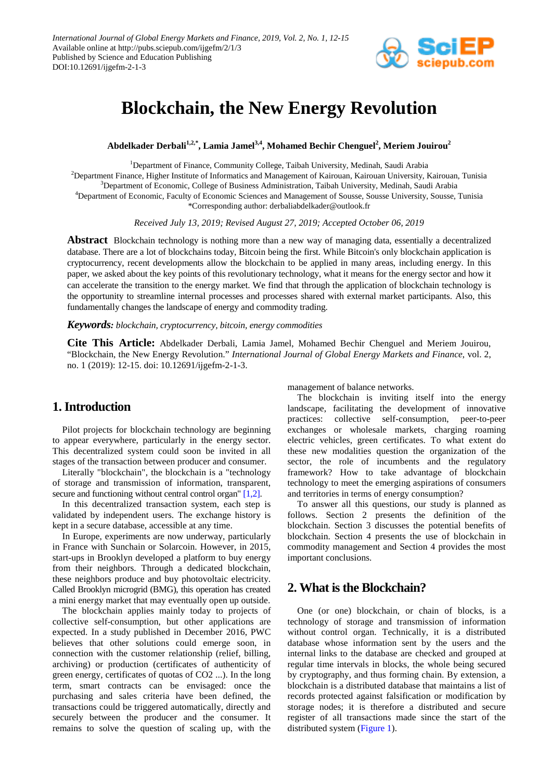

# **Blockchain, the New Energy Revolution**

**Abdelkader Derbali1,2,\*, Lamia Jamel3,4 , Mohamed Bechir Chenguel<sup>2</sup> , Meriem Jouirou2**

<sup>1</sup>Department of Finance, Community College, Taibah University, Medinah, Saudi Arabia 2 Department Finance, Higher Institute of Informatics and Management of Kairouan, Kairouan University, Kairouan, Tunisia 3 Department of Economic, College of Business Administration, Taibah University, Medinah, Saudi Arabia 4 Department of Economic, Faculty of Economic Sciences and Management of Sousse, Sousse University, Sousse, Tunisia \*Corresponding author: derbaliabdelkader@outlook.fr

*Received July 13, 2019; Revised August 27, 2019; Accepted October 06, 2019*

**Abstract** Blockchain technology is nothing more than a new way of managing data, essentially a decentralized database. There are a lot of blockchains today, Bitcoin being the first. While Bitcoin's only blockchain application is cryptocurrency, recent developments allow the blockchain to be applied in many areas, including energy. In this paper, we asked about the key points of this revolutionary technology, what it means for the energy sector and how it can accelerate the transition to the energy market. We find that through the application of blockchain technology is the opportunity to streamline internal processes and processes shared with external market participants. Also, this fundamentally changes the landscape of energy and commodity trading.

#### *Keywords: blockchain, cryptocurrency, bitcoin, energy commodities*

**Cite This Article:** Abdelkader Derbali, Lamia Jamel, Mohamed Bechir Chenguel and Meriem Jouirou, "Blockchain, the New Energy Revolution." *International Journal of Global Energy Markets and Finance*, vol. 2, no. 1 (2019): 12-15. doi: 10.12691/ijgefm-2-1-3.

## **1. Introduction**

Pilot projects for blockchain technology are beginning to appear everywhere, particularly in the energy sector. This decentralized system could soon be invited in all stages of the transaction between producer and consumer.

Literally "blockchain", the blockchain is a "technology of storage and transmission of information, transparent, secure and functioning without central control organ[" \[1,2\].](#page-3-0)

In this decentralized transaction system, each step is validated by independent users. The exchange history is kept in a secure database, accessible at any time.

In Europe, experiments are now underway, particularly in France with Sunchain or Solarcoin. However, in 2015, start-ups in Brooklyn developed a platform to buy energy from their neighbors. Through a dedicated blockchain, these neighbors produce and buy photovoltaic electricity. Called Brooklyn microgrid (BMG), this operation has created a mini energy market that may eventually open up outside.

The blockchain applies mainly today to projects of collective self-consumption, but other applications are expected. In a study published in December 2016, PWC believes that other solutions could emerge soon, in connection with the customer relationship (relief, billing, archiving) or production (certificates of authenticity of green energy, certificates of quotas of CO2 ...). In the long term, smart contracts can be envisaged: once the purchasing and sales criteria have been defined, the transactions could be triggered automatically, directly and securely between the producer and the consumer. It remains to solve the question of scaling up, with the

management of balance networks.

The blockchain is inviting itself into the energy landscape, facilitating the development of innovative practices: collective self-consumption, peer-to-peer exchanges or wholesale markets, charging roaming electric vehicles, green certificates. To what extent do these new modalities question the organization of the sector, the role of incumbents and the regulatory framework? How to take advantage of blockchain technology to meet the emerging aspirations of consumers and territories in terms of energy consumption?

To answer all this questions, our study is planned as follows. Section 2 presents the definition of the blockchain. Section 3 discusses the potential benefits of blockchain. Section 4 presents the use of blockchain in commodity management and Section 4 provides the most important conclusions.

## **2. What is the Blockchain?**

One (or one) blockchain, or chain of blocks, is a technology of storage and transmission of information without control organ. Technically, it is a distributed database whose information sent by the users and the internal links to the database are checked and grouped at regular time intervals in blocks, the whole being secured by cryptography, and thus forming chain. By extension, a blockchain is a distributed database that maintains a list of records protected against falsification or modification by storage nodes; it is therefore a distributed and secure register of all transactions made since the start of the distributed system [\(Figure 1\)](#page-1-0).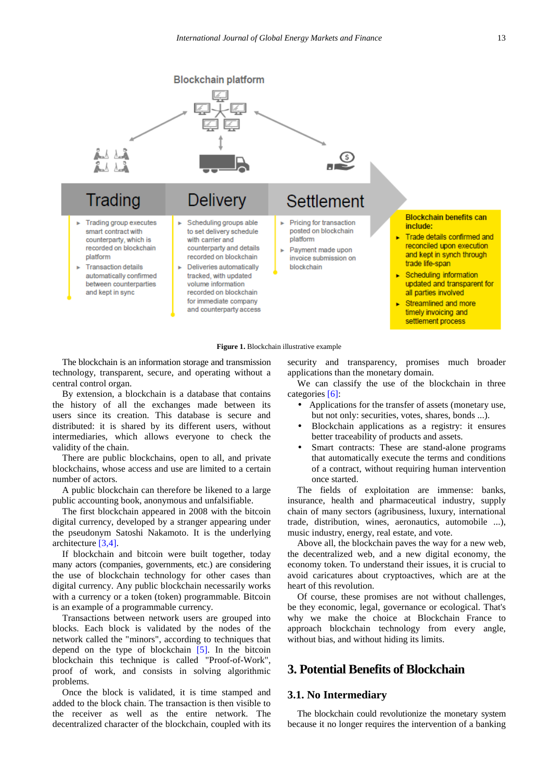<span id="page-1-0"></span>

**Figure 1.** Blockchain illustrative example

The blockchain is an information storage and transmission technology, transparent, secure, and operating without a central control organ.

By extension, a blockchain is a database that contains the history of all the exchanges made between its users since its creation. This database is secure and distributed: it is shared by its different users, without intermediaries, which allows everyone to check the validity of the chain.

There are public blockchains, open to all, and private blockchains, whose access and use are limited to a certain number of actors.

A public blockchain can therefore be likened to a large public accounting book, anonymous and unfalsifiable.

The first blockchain appeared in 2008 with the bitcoin digital currency, developed by a stranger appearing under the pseudonym Satoshi Nakamoto. It is the underlying architecture [\[3,4\].](#page-3-1)

If blockchain and bitcoin were built together, today many actors (companies, governments, etc.) are considering the use of blockchain technology for other cases than digital currency. Any public blockchain necessarily works with a currency or a token (token) programmable. Bitcoin is an example of a programmable currency.

Transactions between network users are grouped into blocks. Each block is validated by the nodes of the network called the "minors", according to techniques that depend on the type of blockchain [\[5\].](#page-3-2) In the bitcoin blockchain this technique is called "Proof-of-Work", proof of work, and consists in solving algorithmic problems.

Once the block is validated, it is time stamped and added to the block chain. The transaction is then visible to the receiver as well as the entire network. The decentralized character of the blockchain, coupled with its security and transparency, promises much broader applications than the monetary domain.

We can classify the use of the blockchain in three categories [\[6\]:](#page-3-3)

- Applications for the transfer of assets (monetary use, but not only: securities, votes, shares, bonds ...).
- Blockchain applications as a registry: it ensures better traceability of products and assets.
- Smart contracts: These are stand-alone programs that automatically execute the terms and conditions of a contract, without requiring human intervention once started.

The fields of exploitation are immense: banks, insurance, health and pharmaceutical industry, supply chain of many sectors (agribusiness, luxury, international trade, distribution, wines, aeronautics, automobile ...), music industry, energy, real estate, and vote.

Above all, the blockchain paves the way for a new web, the decentralized web, and a new digital economy, the economy token. To understand their issues, it is crucial to avoid caricatures about cryptoactives, which are at the heart of this revolution.

Of course, these promises are not without challenges, be they economic, legal, governance or ecological. That's why we make the choice at Blockchain France to approach blockchain technology from every angle, without bias, and without hiding its limits.

## **3. Potential Benefits of Blockchain**

#### **3.1. No Intermediary**

The blockchain could revolutionize the monetary system because it no longer requires the intervention of a banking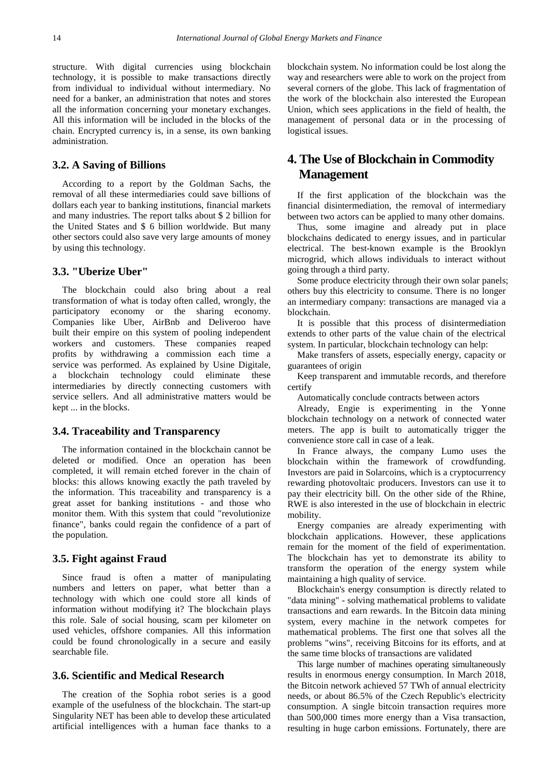structure. With digital currencies using blockchain technology, it is possible to make transactions directly from individual to individual without intermediary. No need for a banker, an administration that notes and stores all the information concerning your monetary exchanges. All this information will be included in the blocks of the chain. Encrypted currency is, in a sense, its own banking administration.

#### **3.2. A Saving of Billions**

According to a report by the Goldman Sachs, the removal of all these intermediaries could save billions of dollars each year to banking institutions, financial markets and many industries. The report talks about \$ 2 billion for the United States and \$ 6 billion worldwide. But many other sectors could also save very large amounts of money by using this technology.

#### **3.3. "Uberize Uber"**

The blockchain could also bring about a real transformation of what is today often called, wrongly, the participatory economy or the sharing economy. Companies like Uber, AirBnb and Deliveroo have built their empire on this system of pooling independent workers and customers. These companies reaped profits by withdrawing a commission each time a service was performed. As explained by Usine Digitale, a blockchain technology could eliminate these intermediaries by directly connecting customers with service sellers. And all administrative matters would be kept ... in the blocks.

#### **3.4. Traceability and Transparency**

The information contained in the blockchain cannot be deleted or modified. Once an operation has been completed, it will remain etched forever in the chain of blocks: this allows knowing exactly the path traveled by the information. This traceability and transparency is a great asset for banking institutions - and those who monitor them. With this system that could "revolutionize finance", banks could regain the confidence of a part of the population.

#### **3.5. Fight against Fraud**

Since fraud is often a matter of manipulating numbers and letters on paper, what better than a technology with which one could store all kinds of information without modifying it? The blockchain plays this role. Sale of social housing, scam per kilometer on used vehicles, offshore companies. All this information could be found chronologically in a secure and easily searchable file.

#### **3.6. Scientific and Medical Research**

The creation of the Sophia robot series is a good example of the usefulness of the blockchain. The start-up Singularity NET has been able to develop these articulated artificial intelligences with a human face thanks to a blockchain system. No information could be lost along the way and researchers were able to work on the project from several corners of the globe. This lack of fragmentation of the work of the blockchain also interested the European Union, which sees applications in the field of health, the management of personal data or in the processing of logistical issues.

# **4. The Use of Blockchain in Commodity Management**

If the first application of the blockchain was the financial disintermediation, the removal of intermediary between two actors can be applied to many other domains.

Thus, some imagine and already put in place blockchains dedicated to energy issues, and in particular electrical. The best-known example is the Brooklyn microgrid, which allows individuals to interact without going through a third party.

Some produce electricity through their own solar panels; others buy this electricity to consume. There is no longer an intermediary company: transactions are managed via a blockchain.

It is possible that this process of disintermediation extends to other parts of the value chain of the electrical system. In particular, blockchain technology can help:

Make transfers of assets, especially energy, capacity or guarantees of origin

Keep transparent and immutable records, and therefore certify

Automatically conclude contracts between actors

Already, Engie is experimenting in the Yonne blockchain technology on a network of connected water meters. The app is built to automatically trigger the convenience store call in case of a leak.

In France always, the company Lumo uses the blockchain within the framework of crowdfunding. Investors are paid in Solarcoins, which is a cryptocurrency rewarding photovoltaic producers. Investors can use it to pay their electricity bill. On the other side of the Rhine, RWE is also interested in the use of blockchain in electric mobility.

Energy companies are already experimenting with blockchain applications. However, these applications remain for the moment of the field of experimentation. The blockchain has yet to demonstrate its ability to transform the operation of the energy system while maintaining a high quality of service.

Blockchain's energy consumption is directly related to "data mining" - solving mathematical problems to validate transactions and earn rewards. In the Bitcoin data mining system, every machine in the network competes for mathematical problems. The first one that solves all the problems "wins", receiving Bitcoins for its efforts, and at the same time blocks of transactions are validated

This large number of machines operating simultaneously results in enormous energy consumption. In March 2018, the Bitcoin network achieved 57 TWh of annual electricity needs, or about 86.5% of the Czech Republic's electricity consumption. A single bitcoin transaction requires more than 500,000 times more energy than a Visa transaction, resulting in huge carbon emissions. Fortunately, there are